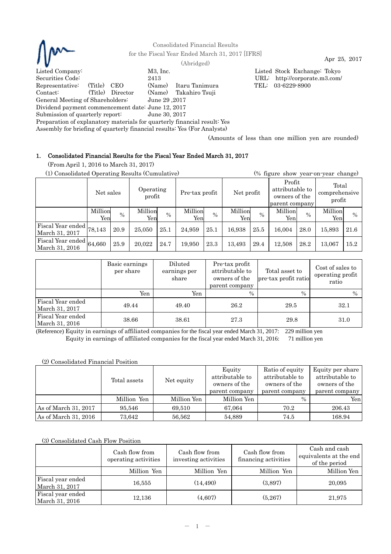

Consolidated Financial Results for the Fiscal Year Ended March 31, 2017 [IFRS] Apr 25, 2017 (Abridged)

Listed Company: M3, Inc. Listed Stock Exchange: Tokyo

Securities Code: 2413 URL: http://corporate.m3.com/ Representative: (Title) CEO (Name) Itaru Tanimura TEL: 03-6229-8900 Contact: (Title) Director (Name) Takahiro Tsuji General Meeting of Shareholders: June 29 ,2017 Dividend payment commencement date: June 12, 2017

Submission of quarterly report: June 30, 2017

Preparation of explanatory materials for quarterly financial result: Yes

Assembly for briefing of quarterly financial results: Yes (For Analysts)

(Amounts of less than one million yen are rounded)

# 1. Consolidated Financial Results for the Fiscal Year Ended March 31, 2017

(From April 1, 2016 to March 31, 2017)

|                                     | (1) Consolidated Operating Results (Cumulative) |               |                     |      |                |                              |                |      |                                                              |               |                                  | (% figure show year-on-year change) |  |  |  |
|-------------------------------------|-------------------------------------------------|---------------|---------------------|------|----------------|------------------------------|----------------|------|--------------------------------------------------------------|---------------|----------------------------------|-------------------------------------|--|--|--|
|                                     | Net sales                                       |               | Operating<br>profit |      |                | Net profit<br>Pre-tax profit |                |      | Profit<br>attributable to<br>owners of the<br>parent company |               | Total<br>comprehensive<br>profit |                                     |  |  |  |
|                                     | Million<br>Yen                                  | $\frac{0}{0}$ | Million<br>Yen      | $\%$ | Million<br>Yen | $\frac{0}{0}$                | Million<br>Yen | $\%$ | Million<br>Yen                                               | $\frac{0}{0}$ | Million<br>Yen                   | $\%$                                |  |  |  |
| Fiscal Year ended<br>March 31, 2017 | 78,143                                          | 20.9          | 25,050              | 25.1 | 24,959         | 25.1                         | 16.938         | 25.5 | 16.004                                                       | 28.0          | 15,893                           | 21.6                                |  |  |  |
| Fiscal Year ended<br>March 31, 2016 | 64,660                                          | 25.9          | 20,022              | 24.7 | 19,950         | 23.3                         | 13,493         | 29.4 | 12,508                                                       | 28.2          | 13.067                           | 15.2                                |  |  |  |

|                                     | Basic earnings<br>per share | Diluted<br>earnings per<br>share | Pre-tax profit<br>attributable to<br>owners of the<br>parent company | Total asset to<br>pre-tax profit ratio | Cost of sales to<br>operating profit<br>ratio |
|-------------------------------------|-----------------------------|----------------------------------|----------------------------------------------------------------------|----------------------------------------|-----------------------------------------------|
|                                     | Yen                         | Yen                              | $\frac{0}{0}$                                                        | $\%$                                   | $\frac{0}{0}$                                 |
| Fiscal Year ended<br>March 31, 2017 | 49.44                       | 49.40                            | 26.2                                                                 | 29.5                                   | 32.1                                          |
| Fiscal Year ended<br>March 31, 2016 | 38.66                       | 38.61                            | 27.3                                                                 | 29.8                                   | 31.0                                          |

(Reference) Equity in earnings of affiliated companies for the fiscal year ended March 31, 2017: 229 million yen Equity in earnings of affiliated companies for the fiscal year ended March 31, 2016: 71 million yen

(2) Consolidated Financial Position

|                              | Total assets | Net equity  | Equity<br>attributable to<br>owners of the<br>parent company | Ratio of equity<br>attributable to<br>owners of the<br>parent company | Equity per share<br>attributable to<br>owners of the<br>parent company |
|------------------------------|--------------|-------------|--------------------------------------------------------------|-----------------------------------------------------------------------|------------------------------------------------------------------------|
|                              | Million Yen  | Million Yen | Million Yen                                                  | $\%$                                                                  | Yenl                                                                   |
| $\vert$ As of March 31, 2017 | 95.546       | 69.510      | 67.064                                                       | 70.2                                                                  | 206.43                                                                 |
| As of March 31, 2016         | 73,642       | 56,562      | 54,889                                                       | 74.5                                                                  | 168.94                                                                 |

# (3) Consolidated Cash Flow Position

|                                     | Cash flow from<br>operating activities | Cash flow from<br>investing activities | Cash flow from<br>financing activities | Cash and cash<br>equivalents at the end<br>of the period |
|-------------------------------------|----------------------------------------|----------------------------------------|----------------------------------------|----------------------------------------------------------|
|                                     | Million Yen                            | Million Yen                            | Million Yen                            | Million Yen                                              |
| Fiscal year ended<br>March 31, 2017 | 16,555                                 | (14.490)                               | (3,897)                                | 20,095                                                   |
| Fiscal year ended<br>March 31, 2016 | 12,136                                 | (4,607)                                | (5,267)                                | 21,975                                                   |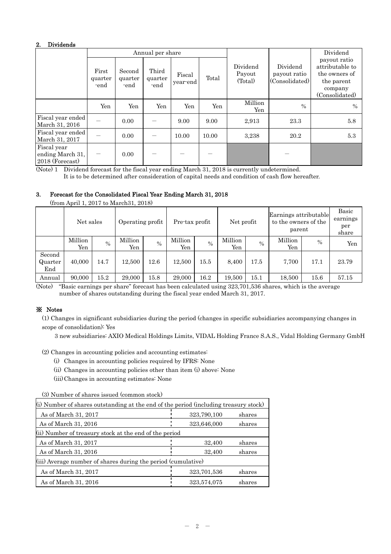# 2. Dividends

|                                                    |                          |                           | Annual per share         |                    |       |                               |                                            | Dividend                                                                                    |
|----------------------------------------------------|--------------------------|---------------------------|--------------------------|--------------------|-------|-------------------------------|--------------------------------------------|---------------------------------------------------------------------------------------------|
|                                                    | First<br>quarter<br>-end | Second<br>quarter<br>-end | Third<br>quarter<br>-end | Fiscal<br>year-end | Total | Dividend<br>Payout<br>(Total) | Dividend<br>payout ratio<br>(Consolidated) | payout ratio<br>attributable to<br>the owners of<br>the parent<br>company<br>(Consolidated) |
|                                                    | Yen                      | Yen                       | Yen                      | Yen                | Yen   | Million<br>Yen                | $\frac{0}{0}$                              | $\%$                                                                                        |
| Fiscal year ended<br>March 31, 2016                |                          | 0.00                      |                          | 9.00               | 9.00  | 2,913                         | 23.3                                       | 5.8                                                                                         |
| Fiscal year ended<br>March 31, 2017                |                          | 0.00                      |                          | 10.00              | 10.00 | 3,238                         | 20.2                                       | 5.3                                                                                         |
| Fiscal year<br>ending March 31,<br>2018 (Forecast) |                          | 0.00                      |                          |                    |       |                               |                                            |                                                                                             |

(Note) 1 Dividend forecast for the fiscal year ending March 31, 2018 is currently undetermined.

It is to be determined after consideration of capital needs and condition of cash flow hereafter.

# 3. Forecast for the Consolidated Fiscal Year Ending March 31, 2018

|                          | $\mu$ one speak is $\mu$ of $\mu$ and $\mu$ and $\mu$ |      |                  |               |                |               |                |               |                                                         |               |                                   |
|--------------------------|-------------------------------------------------------|------|------------------|---------------|----------------|---------------|----------------|---------------|---------------------------------------------------------|---------------|-----------------------------------|
|                          | Net sales                                             |      | Operating profit |               | Pre-tax profit |               | Net profit     |               | Earnings attributable<br>to the owners of the<br>parent |               | Basic<br>earnings<br>per<br>share |
|                          | Million<br>Yen                                        | $\%$ | Million<br>Yen   | $\frac{0}{0}$ | Million<br>Yen | $\frac{0}{0}$ | Million<br>Yen | $\frac{0}{0}$ | Million<br>Yen                                          | $\frac{0}{0}$ | Yen                               |
| Second<br>Quarter<br>End | 40,000                                                | 14.7 | 12.500           | 12.6          | 12.500         | 15.5          | 8,400          | 17.5          | 7.700                                                   | 17.1          | 23.79                             |
| Annual                   | 90,000                                                | 15.2 | 29,000           | 15.8          | 29,000         | 16.2          | 19,500         | $15.1\,$      | 18,500                                                  | 15.6          | 57.15                             |

(from April 1, 2017 to March31, 2018)

(Note) "Basic earnings per share" forecast has been calculated using 323,701,536 shares, which is the average number of shares outstanding during the fiscal year ended March 31, 2017.

# ※ Notes

(1) Changes in significant subsidiaries during the period (changes in specific subsidiaries accompanying changes in scope of consolidation): Yes

3 new subsidiaries: AXIO Medical Holdings Limits, VIDAL Holding France S.A.S., Vidal Holding Germany GmbH

(2) Changes in accounting policies and accounting estimates:

- (i) Changes in accounting policies required by IFRS: None
- (ii) Changes in accounting policies other than item (i) above: None
- (iii) Changes in accounting estimates: None

(3) Number of shares issued (common stock)

| (i) Number of shares outstanding at the end of the period (including treasury stock) |             |        |  |  |  |  |  |
|--------------------------------------------------------------------------------------|-------------|--------|--|--|--|--|--|
| As of March 31, 2017                                                                 | 323,790,100 | shares |  |  |  |  |  |
| As of March 31, 2016                                                                 | 323,646,000 | shares |  |  |  |  |  |
| (ii) Number of treasury stock at the end of the period                               |             |        |  |  |  |  |  |
| As of March 31, 2017                                                                 | 32,400      | shares |  |  |  |  |  |
| As of March 31, 2016                                                                 | 32,400      | shares |  |  |  |  |  |
| (iii) Average number of shares during the period (cumulative)                        |             |        |  |  |  |  |  |
| As of March 31, 2017                                                                 | 323,701,536 | shares |  |  |  |  |  |
| As of March 31, 2016                                                                 | 323,574,075 | shares |  |  |  |  |  |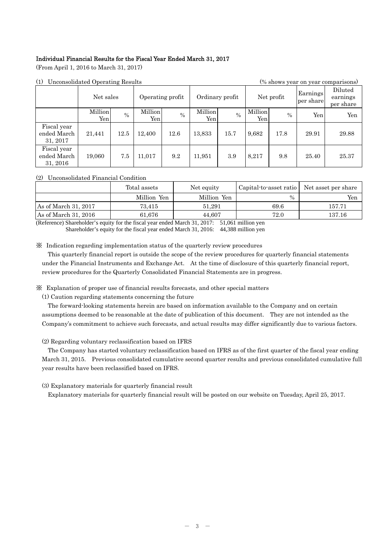# Individual Financial Results for the Fiscal Year Ended March 31, 2017

(From April 1, 2016 to March 31, 2017)

| (1)                                    | Unconsolidated Operating Results<br>(% shows year on year comparisons) |      |                  |               |                 |               |                |      |                       |                                  |
|----------------------------------------|------------------------------------------------------------------------|------|------------------|---------------|-----------------|---------------|----------------|------|-----------------------|----------------------------------|
|                                        | Net sales                                                              |      | Operating profit |               | Ordinary profit |               | Net profit     |      | Earnings<br>per share | Diluted<br>earnings<br>per share |
|                                        | Million<br>Yen                                                         | $\%$ | Million<br>Yen   | $\frac{0}{0}$ | Million<br>Yen  | $\frac{0}{0}$ | Million<br>Yen | $\%$ | Yen                   | Yen                              |
| Fiscal year<br>ended March<br>31, 2017 | 21,441                                                                 | 12.5 | 12,400           | 12.6          | 13,833          | 15.7          | 9,682          | 17.8 | 29.91                 | 29.88                            |
| Fiscal year<br>ended March<br>31, 2016 | 19,060                                                                 | 7.5  | 11,017           | 9.2           | 11,951          | 3.9           | 8,217          | 9.8  | 25.40                 | 25.37                            |

# (2) Unconsolidated Financial Condition

|                      | Total assets | Net equity  | Capital to asset ratio   Net asset per share |        |  |
|----------------------|--------------|-------------|----------------------------------------------|--------|--|
|                      | Million Yen  | Million Yen | $\frac{0}{0}$                                | Yen    |  |
| As of March 31, 2017 | 73.415       | 51.291      | 69.6                                         | 157.71 |  |
| As of March 31, 2016 | 61.676       | 44.607      | 72.0                                         | 137.16 |  |

(Reference) Shareholder's equity for the fiscal year ended March 31, 2017: 51,061 million yen Shareholder's equity for the fiscal year ended March 31, 2016: 44,388 million yen

※ Indication regarding implementation status of the quarterly review procedures

This quarterly financial report is outside the scope of the review procedures for quarterly financial statements under the Financial Instruments and Exchange Act. At the time of disclosure of this quarterly financial report, review procedures for the Quarterly Consolidated Financial Statements are in progress.

※ Explanation of proper use of financial results forecasts, and other special matters

(1) Caution regarding statements concerning the future

The forward-looking statements herein are based on information available to the Company and on certain assumptions deemed to be reasonable at the date of publication of this document. They are not intended as the Company's commitment to achieve such forecasts, and actual results may differ significantly due to various factors.

# (2) Regarding voluntary reclassification based on IFRS

The Company has started voluntary reclassification based on IFRS as of the first quarter of the fiscal year ending March 31, 2015. Previous consolidated cumulative second quarter results and previous consolidated cumulative full year results have been reclassified based on IFRS.

(3) Explanatory materials for quarterly financial result

Explanatory materials for quarterly financial result will be posted on our website on Tuesday, April 25, 2017.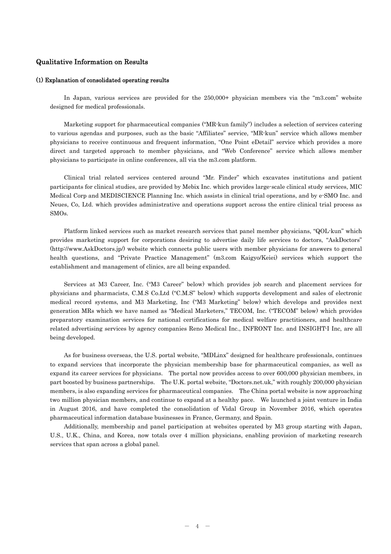# Qualitative Information on Results

## (1) Explanation of consolidated operating results

In Japan, various services are provided for the 250,000+ physician members via the "m3.com" website designed for medical professionals.

Marketing support for pharmaceutical companies ("MR-kun family") includes a selection of services catering to various agendas and purposes, such as the basic "Affiliates" service, "MR-kun" service which allows member physicians to receive continuous and frequent information, "One Point eDetail" service which provides a more direct and targeted approach to member physicians, and "Web Conference" service which allows member physicians to participate in online conferences, all via the m3.com platform.

Clinical trial related services centered around "Mr. Finder" which excavates institutions and patient participants for clinical studies, are provided by Mebix Inc. which provides large-scale clinical study services, MIC Medical Corp and MEDISCIENCE Planning Inc. which assists in clinical trial operations, and by e-SMO Inc. and Neues, Co, Ltd. which provides administrative and operations support across the entire clinical trial process as SMOs.

Platform linked services such as market research services that panel member physicians, "QOL-kun" which provides marketing support for corporations desiring to advertise daily life services to doctors, "AskDoctors" (http://www.AskDoctors.jp/) website which connects public users with member physicians for answers to general health questions, and "Private Practice Management" (m3.com Kaigyo/Keiei) services which support the establishment and management of clinics, are all being expanded.

Services at M3 Career, Inc. ("M3 Career" below) which provides job search and placement services for physicians and pharmacists, C.M.S Co.Ltd ("C.M.S" below) which supports development and sales of electronic medical record systems, and M3 Marketing, Inc ("M3 Marketing" below) which develops and provides next generation MRs which we have named as "Medical Marketers," TECOM, Inc. ("TECOM" below) which provides preparatory examination services for national certifications for medical welfare practitioners, and healthcare related advertising services by agency companies Reno Medical Inc., INFRONT Inc. and INSIGHT-I Inc, are all being developed.

As for business overseas, the U.S. portal website, "MDLinx" designed for healthcare professionals, continues to expand services that incorporate the physician membership base for pharmaceutical companies, as well as expand its career services for physicians. The portal now provides access to over 600,000 physician members, in part boosted by business partnerships. The U.K. portal website, "Doctors.net.uk," with roughly 200,000 physician members, is also expanding services for pharmaceutical companies. The China portal website is now approaching two million physician members, and continue to expand at a healthy pace. We launched a joint venture in India in August 2016, and have completed the consolidation of Vidal Group in November 2016, which operates pharmaceutical information database businesses in France, Germany, and Spain.

Additionally, membership and panel participation at websites operated by M3 group starting with Japan, U.S., U.K., China, and Korea, now totals over 4 million physicians, enabling provision of marketing research services that span across a global panel.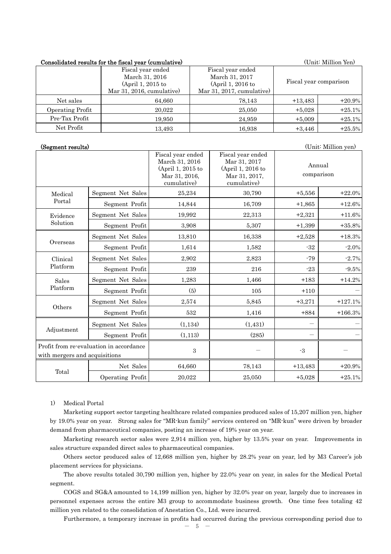# Consolidated results for the fiscal year (cumulative) (Unit: Million Yen)

|                  | <u>UULLUVAAMUUVU AUDMAVD AUA VAAV AADUUL JUUL (UMALIMAUVATU)</u>                        |                                                                                        |           |                        |
|------------------|-----------------------------------------------------------------------------------------|----------------------------------------------------------------------------------------|-----------|------------------------|
|                  | Fiscal year ended<br>March 31, 2016<br>$(April 1, 2015$ to<br>Mar 31, 2016, cumulative) | Fiscal year ended<br>March 31, 2017<br>$(April 1, 2016$ to<br>Mar 31, 2017, cumulative |           | Fiscal year comparison |
| Net sales        | 64,660                                                                                  | 78,143                                                                                 | $+13,483$ | $+20.9%$               |
| Operating Profit | 20.022                                                                                  | 25,050                                                                                 | $+5,028$  | $+25.1%$               |
| Pre-Tax Profit   | 19.950                                                                                  | 24.959                                                                                 | $+5,009$  | $+25.1%$               |
| Net Profit       | 13.493                                                                                  | 16,938                                                                                 | $+3,446$  | $+25.5%$               |

(Segment results) (Unit: Million yen)

|                               |                                         | Fiscal year ended<br>March 31, 2016<br>(April 1, 2015 to<br>Mar 31, 2016,<br>cumulative) | Fiscal year ended<br>Mar 31, 2017<br>(April 1, 2016 to<br>Mar 31, 2017,<br>cumulative) | Annual<br>comparison |           |
|-------------------------------|-----------------------------------------|------------------------------------------------------------------------------------------|----------------------------------------------------------------------------------------|----------------------|-----------|
| Medical                       | Segment Net Sales                       | 25,234                                                                                   | 30,790                                                                                 | $+5,556$             | $+22.0%$  |
| Portal                        | Segment Profit                          | 14,844                                                                                   | 16,709                                                                                 | $+1,865$             | $+12.6%$  |
| Evidence                      | Segment Net Sales                       | 19,992                                                                                   | 22,313                                                                                 | $+2,321$             | $+11.6%$  |
| Solution                      | Segment Profit                          | 3,908                                                                                    | 5,307                                                                                  | $+1,399$             | $+35.8%$  |
|                               | Segment Net Sales                       | 13,810                                                                                   | 16,338                                                                                 | $+2,528$             | $+18.3%$  |
| Overseas                      | Segment Profit                          | 1,614                                                                                    | 1,582                                                                                  | $-32$                | $-2.0%$   |
| Clinical                      | Segment Net Sales                       | 2,902                                                                                    | 2,823                                                                                  | $-79$                | $-2.7%$   |
| Platform                      | Segment Profit                          | 239                                                                                      | 216                                                                                    | $-23$                | $-9.5%$   |
| Sales                         | Segment Net Sales                       | 1,283                                                                                    | 1,466                                                                                  | $+183$               | $+14.2%$  |
| Platform                      | Segment Profit                          | (5)                                                                                      | 105                                                                                    | $+110$               |           |
|                               | Segment Net Sales                       | 2,574                                                                                    | 5,845                                                                                  | $+3,271$             | $+127.1%$ |
| Others                        | Segment Profit                          | 532                                                                                      | 1,416                                                                                  | $+884$               | $+166.3%$ |
|                               | Segment Net Sales                       | (1, 134)                                                                                 | (1, 431)                                                                               |                      |           |
| Adjustment                    | Segment Profit                          | (1,113)                                                                                  | (285)                                                                                  |                      |           |
| with mergers and acquisitions | Profit from re-evaluation in accordance | 3                                                                                        |                                                                                        | $-3$                 |           |
|                               | Net Sales                               | 64,660                                                                                   | 78,143                                                                                 | $+13,483$            | $+20.9%$  |
| Total                         | Operating Profit                        | 20,022                                                                                   | 25,050                                                                                 | $+5,028$             | $+25.1%$  |

## 1) Medical Portal

Marketing support sector targeting healthcare related companies produced sales of 15,207 million yen, higher by 19.0% year on year. Strong sales for "MR-kun family" services centered on "MR-kun" were driven by broader demand from pharmaceutical companies, posting an increase of 19% year on year.

Marketing research sector sales were 2,914 million yen, higher by 13.5% year on year. Improvements in sales structure expanded direct sales to pharmaceutical companies.

Others sector produced sales of 12,668 million yen, higher by 28.2% year on year, led by M3 Career's job placement services for physicians.

The above results totaled 30,790 million yen, higher by 22.0% year on year, in sales for the Medical Portal segment.

 COGS and SG&A amounted to 14,199 million yen, higher by 32.0% year on year, largely due to increases in personnel expenses across the entire M3 group to accommodate business growth. One time fees totaling 42 million yen related to the consolidation of Anestation Co., Ltd. were incurred.

Furthermore, a temporary increase in profits had occurred during the previous corresponding period due to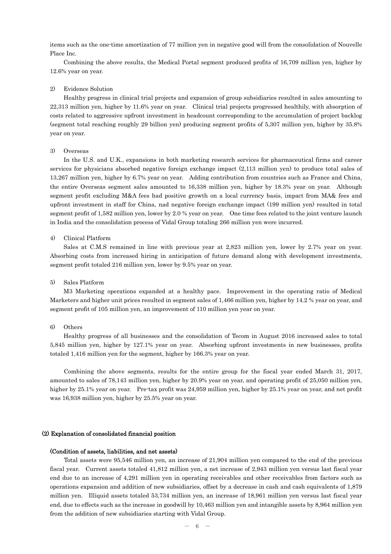items such as the one-time amortization of 77 million yen in negative good will from the consolidation of Nouvelle Place Inc.

 Combining the above results, the Medical Portal segment produced profits of 16,709 million yen, higher by 12.6% year on year.

## 2) Evidence Solution

Healthy progress in clinical trial projects and expansion of group subsidiaries resulted in sales amounting to 22,313 million yen, higher by 11.6% year on year. Clinical trial projects progressed healthily, with absorption of costs related to aggressive upfront investment in headcount corresponding to the accumulation of project backlog (segment total reaching roughly 29 billion yen) producing segment profits of 5,307 million yen, higher by 35.8% year on year.

## 3) Overseas

In the U.S. and U.K., expansions in both marketing research services for pharmaceutical firms and career services for physicians absorbed negative foreign exchange impact (2,113 million yen) to produce total sales of 13,267 million yen, higher by 6.7% year on year. Adding contribution from countries such as France and China, the entire Overseas segment sales amounted to 16,338 million yen, higher by 18.3% year on year. Although segment profit excluding M&A fees had positive growth on a local currency basis, impact from MA& fees and upfront investment in staff for China, nad negative foreign exchange impact (199 million yen) resulted in total segment profit of 1,582 million yen, lower by 2.0 % year on year. One time fees related to the joint venture launch in India and the consolidation process of Vidal Group totaling 266 million yen were incurred.

## 4) Clinical Platform

Sales at C.M.S remained in line with previous year at 2,823 million yen, lower by 2.7% year on year. Absorbing costs from increased hiring in anticipation of future demand along with development investments, segment profit totaled 216 million yen, lower by 9.5% year on year.

## 5) Sales Platform

M3 Marketing operations expanded at a healthy pace. Improvement in the operating ratio of Medical Marketers and higher unit prices resulted in segment sales of 1,466 million yen, higher by 14.2 % year on year, and segment profit of 105 million yen, an improvement of 110 million yen year on year.

## 6) Others

Healthy progress of all businesses and the consolidation of Tecom in August 2016 increased sales to total 5,845 million yen, higher by 127.1% year on year. Absorbing upfront investments in new businesses, profits totaled 1,416 million yen for the segment, higher by 166.3% year on year.

Combining the above segments, results for the entire group for the fiscal year ended March 31, 2017, amounted to sales of 78,143 million yen, higher by 20.9% year on year, and operating profit of 25,050 million yen, higher by 25.1% year on year. Pre-tax profit was 24,959 million yen, higher by 25.1% year on year, and net profit was 16,938 million yen, higher by 25.5% year on year.

## (2) Explanation of consolidated financial position

## (Condition of assets, liabilities, and net assets)

Total assets were 95,546 million yen, an increase of 21,904 million yen compared to the end of the previous fiscal year. Current assets totaled 41,812 million yen, a net increase of 2,943 million yen versus last fiscal year end due to an increase of 4,291 million yen in operating receivables and other receivables from factors such as operations expansion and addition of new subsidiaries, offset by a decrease in cash and cash equivalents of 1,879 million yen. Illiquid assets totaled 53,734 million yen, an increase of 18,961 million yen versus last fiscal year end, due to effects such as the increase in goodwill by 10,463 million yen and intangible assets by 8,964 million yen from the addition of new subsidiaries starting with Vidal Group.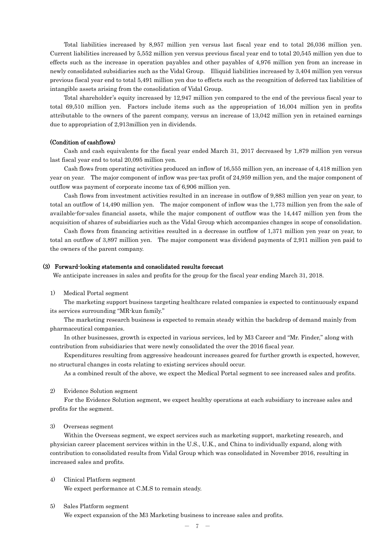Total liabilities increased by 8,957 million yen versus last fiscal year end to total 26,036 million yen. Current liabilities increased by 5,552 million yen versus previous fiscal year end to total 20,545 million yen due to effects such as the increase in operation payables and other payables of 4,976 million yen from an increase in newly consolidated subsidiaries such as the Vidal Group. Illiquid liabilities increased by 3,404 million yen versus previous fiscal year end to total 5,491 million yen due to effects such as the recognition of deferred tax liabilities of intangible assets arising from the consolidation of Vidal Group.

Total shareholder's equity increased by 12,947 million yen compared to the end of the previous fiscal year to total 69,510 million yen. Factors include items such as the appropriation of 16,004 million yen in profits attributable to the owners of the parent company, versus an increase of 13,042 million yen in retained earnings due to appropriation of 2,913million yen in dividends.

## (Condition of cashflows)

Cash and cash equivalents for the fiscal year ended March 31, 2017 decreased by 1,879 million yen versus last fiscal year end to total 20,095 million yen.

Cash flows from operating activities produced an inflow of 16,555 million yen, an increase of 4,418 million yen year on year. The major component of inflow was pre-tax profit of 24,959 million yen, and the major component of outflow was payment of corporate income tax of 6,906 million yen.

Cash flows from investment activities resulted in an increase in outflow of 9,883 million yen year on year, to total an outflow of 14,490 million yen. The major component of inflow was the 1,773 million yen from the sale of available-for-sales financial assets, while the major component of outflow was the 14,447 million yen from the acquisition of shares of subsidiaries such as the Vidal Group which accompanies changes in scope of consolidation.

Cash flows from financing activities resulted in a decrease in outflow of 1,371 million yen year on year, to total an outflow of 3,897 million yen. The major component was dividend payments of 2,911 million yen paid to the owners of the parent company.

#### (3) Forward-looking statements and consolidated results forecast

We anticipate increases in sales and profits for the group for the fiscal year ending March 31, 2018.

1) Medical Portal segment

The marketing support business targeting healthcare related companies is expected to continuously expand its services surrounding "MR-kun family."

The marketing research business is expected to remain steady within the backdrop of demand mainly from pharmaceutical companies.

In other businesses, growth is expected in various services, led by M3 Career and "Mr. Finder," along with contribution from subsidiaries that were newly consolidated the over the 2016 fiscal year.

Expenditures resulting from aggressive headcount increases geared for further growth is expected, however, no structural changes in costs relating to existing services should occur.

As a combined result of the above, we expect the Medical Portal segment to see increased sales and profits.

## 2) Evidence Solution segment

For the Evidence Solution segment, we expect healthy operations at each subsidiary to increase sales and profits for the segment.

## 3) Overseas segment

Within the Overseas segment, we expect services such as marketing support, marketing research, and physician career placement services within in the U.S., U.K., and China to individually expand, along with contribution to consolidated results from Vidal Group which was consolidated in November 2016, resulting in increased sales and profits.

4) Clinical Platform segment

We expect performance at C.M.S to remain steady.

# 5) Sales Platform segment

We expect expansion of the M3 Marketing business to increase sales and profits.

 $- 7 -$